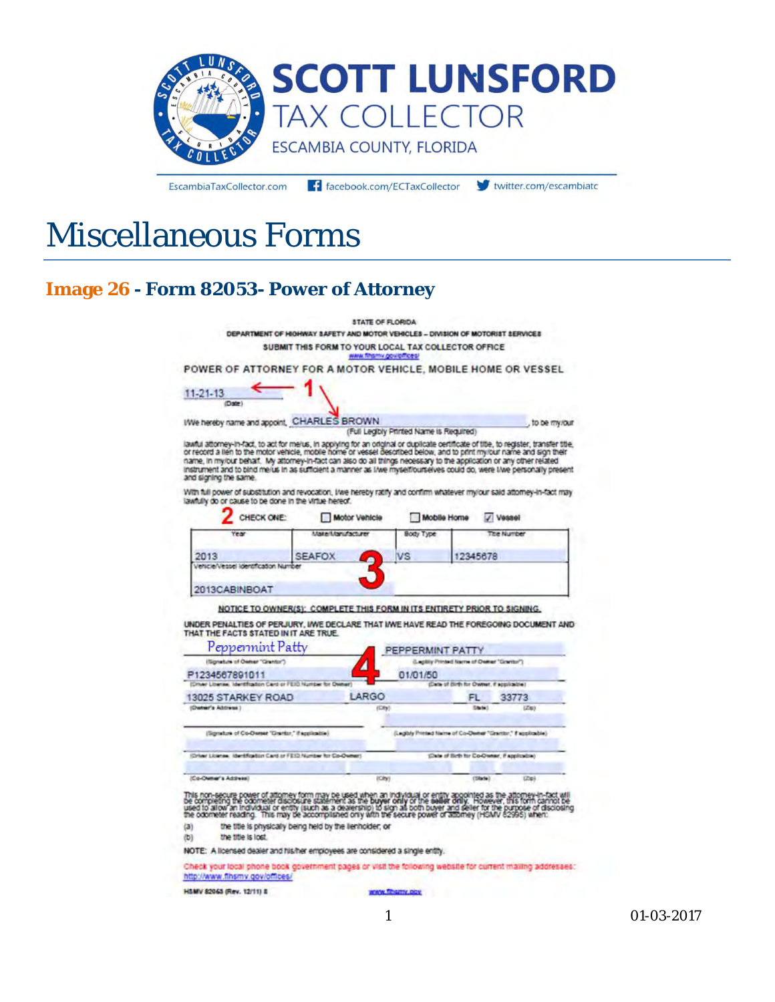

EscambiaTaxCollector.com

f facebook.com/ECTaxCollector V twitter.com/escambiate

# Miscellaneous Forms

### **Image 26 - Form 82053- Power of Attorney**

|                   |                                                                                                                                                                                                                                                                                                                                                                                                                                                                                                             |                                                     | <b>STATE OF FLORIDA</b>         |                                                                          |                                           |                                             |
|-------------------|-------------------------------------------------------------------------------------------------------------------------------------------------------------------------------------------------------------------------------------------------------------------------------------------------------------------------------------------------------------------------------------------------------------------------------------------------------------------------------------------------------------|-----------------------------------------------------|---------------------------------|--------------------------------------------------------------------------|-------------------------------------------|---------------------------------------------|
|                   | DEPARTMENT OF HIGHWAY SAFETY AND MOTOR VEHICLES - DIVISION OF MOTORIST SERVICES                                                                                                                                                                                                                                                                                                                                                                                                                             |                                                     |                                 |                                                                          |                                           |                                             |
|                   |                                                                                                                                                                                                                                                                                                                                                                                                                                                                                                             | SUBMIT THIS FORM TO YOUR LOCAL TAX COLLECTOR OFFICE | <b>WARK TERRITY OCH CITIZEN</b> |                                                                          |                                           |                                             |
|                   | POWER OF ATTORNEY FOR A MOTOR VEHICLE, MOBILE HOME OR VESSEL                                                                                                                                                                                                                                                                                                                                                                                                                                                |                                                     |                                 |                                                                          |                                           |                                             |
| $11 - 21 - 13$    | (Date)                                                                                                                                                                                                                                                                                                                                                                                                                                                                                                      |                                                     |                                 |                                                                          |                                           |                                             |
|                   | We hereby name and appoint. CHARLES BROWN                                                                                                                                                                                                                                                                                                                                                                                                                                                                   |                                                     |                                 | (Full Legibly Printed Name is Reguired)                                  |                                           | to be my/our                                |
|                   | lawful attorney-in-fact, to act for melus, in applying for an original or duplicate certificate of title, to register, transfer title,<br>or record a lien to the motor vehicle, mobile home or vessel desorbed below, and to pri<br>name, in my/our behalf. My attomey-in-fact can also do all things necessary to the application or any other related<br>instrument and to bind me/us in as sufficient a manner as I/we myselflourselves could do, were I/we personally present<br>and signing the same. |                                                     |                                 |                                                                          |                                           |                                             |
|                   | With full power of substitution and revocation, I/we hereby ratify and confirm whatever my/our said attorney-in-fact may<br>lawfully do or cause to be done in the virtue hereof.                                                                                                                                                                                                                                                                                                                           |                                                     |                                 |                                                                          |                                           |                                             |
|                   | CHECK ONE:                                                                                                                                                                                                                                                                                                                                                                                                                                                                                                  |                                                     | Motor Vehicle                   | Mobile Home                                                              |                                           | Vessel                                      |
|                   | rea                                                                                                                                                                                                                                                                                                                                                                                                                                                                                                         | Make/Manufacturer                                   |                                 | Body Type                                                                |                                           | <b>The Number</b>                           |
| 2013              |                                                                                                                                                                                                                                                                                                                                                                                                                                                                                                             | <b>SEAFOX</b>                                       | ∙                               | VS                                                                       | 12345678                                  |                                             |
|                   | Vehicle/Vessel identification Number                                                                                                                                                                                                                                                                                                                                                                                                                                                                        |                                                     |                                 |                                                                          |                                           |                                             |
|                   | 2013CABINBOAT                                                                                                                                                                                                                                                                                                                                                                                                                                                                                               |                                                     |                                 |                                                                          |                                           |                                             |
|                   |                                                                                                                                                                                                                                                                                                                                                                                                                                                                                                             |                                                     |                                 | NOTICE TO OWNER(S): COMPLETE THIS FORM IN ITS ENTIRETY PRIOR TO SIGNING. |                                           |                                             |
|                   | UNDER PENALTIES OF PERJURY, INVE DECLARE THAT INVE HAVE READ THE FOREGOING DOCUMENT AND<br>THAT THE FACTS STATED IN IT ARE TRUE.<br>Peppermint Patty                                                                                                                                                                                                                                                                                                                                                        |                                                     |                                 |                                                                          |                                           |                                             |
|                   | (Spreture of Owner "Grentor")                                                                                                                                                                                                                                                                                                                                                                                                                                                                               |                                                     |                                 | PEPPERMINT PATTY                                                         | Legilly Printed Name of Dwiner "Grantor") |                                             |
|                   | P1234567891011                                                                                                                                                                                                                                                                                                                                                                                                                                                                                              |                                                     |                                 | 01/01/50                                                                 |                                           |                                             |
|                   | (Other Liberal: Identification Card or / EXD Number for Owner                                                                                                                                                                                                                                                                                                                                                                                                                                               |                                                     |                                 |                                                                          | (Date of Birth for Owner, if applicable)  |                                             |
|                   | 13025 STARKEY ROAD                                                                                                                                                                                                                                                                                                                                                                                                                                                                                          |                                                     | LARGO                           |                                                                          | FL.                                       | 33773                                       |
| (Owner's Address) |                                                                                                                                                                                                                                                                                                                                                                                                                                                                                                             |                                                     | (City)                          |                                                                          | <b>Rautist</b>                            | (LE(0))                                     |
|                   | (Sgratus of Co-Deser 'Grantz,' if applicable.)                                                                                                                                                                                                                                                                                                                                                                                                                                                              |                                                     |                                 | (Legisly Printed Name of Co-Demor "Grantor," I applicable)               |                                           |                                             |
|                   | IDriver License, Identification Card or FEID Number for Co-Owners                                                                                                                                                                                                                                                                                                                                                                                                                                           |                                                     |                                 |                                                                          |                                           | (Date of Birth for Co-Owner, if applicable) |
|                   |                                                                                                                                                                                                                                                                                                                                                                                                                                                                                                             |                                                     |                                 |                                                                          |                                           |                                             |
|                   | (Co-Owner's Address)                                                                                                                                                                                                                                                                                                                                                                                                                                                                                        |                                                     | (Cky)                           |                                                                          | $(38 + 5)$                                | (L24)                                       |
|                   | This non-secure power of attorney form may be used when an individual or entity appointed as the attorney-in-fact will<br>be cornpleting the odomeste disclosure statement as the buyer only or the seller drilly. However, this                                                                                                                                                                                                                                                                            |                                                     |                                 |                                                                          |                                           |                                             |
| (a)<br>(b)        | the title is physically being held by the lienholder, or<br>the title is lost.                                                                                                                                                                                                                                                                                                                                                                                                                              |                                                     |                                 |                                                                          |                                           |                                             |
|                   | NOTE: A licensed dealer and his/her employees are considered a single entity.                                                                                                                                                                                                                                                                                                                                                                                                                               |                                                     |                                 |                                                                          |                                           |                                             |
|                   | Check your local phone book government pages or visit the following website for current mailing addresses:                                                                                                                                                                                                                                                                                                                                                                                                  |                                                     |                                 |                                                                          |                                           |                                             |
|                   | http://www.fihsmy.gov/offices/<br>H&MV 82063 (Rev. 12/11) 8                                                                                                                                                                                                                                                                                                                                                                                                                                                 |                                                     |                                 | WWW.filtermy.com                                                         |                                           |                                             |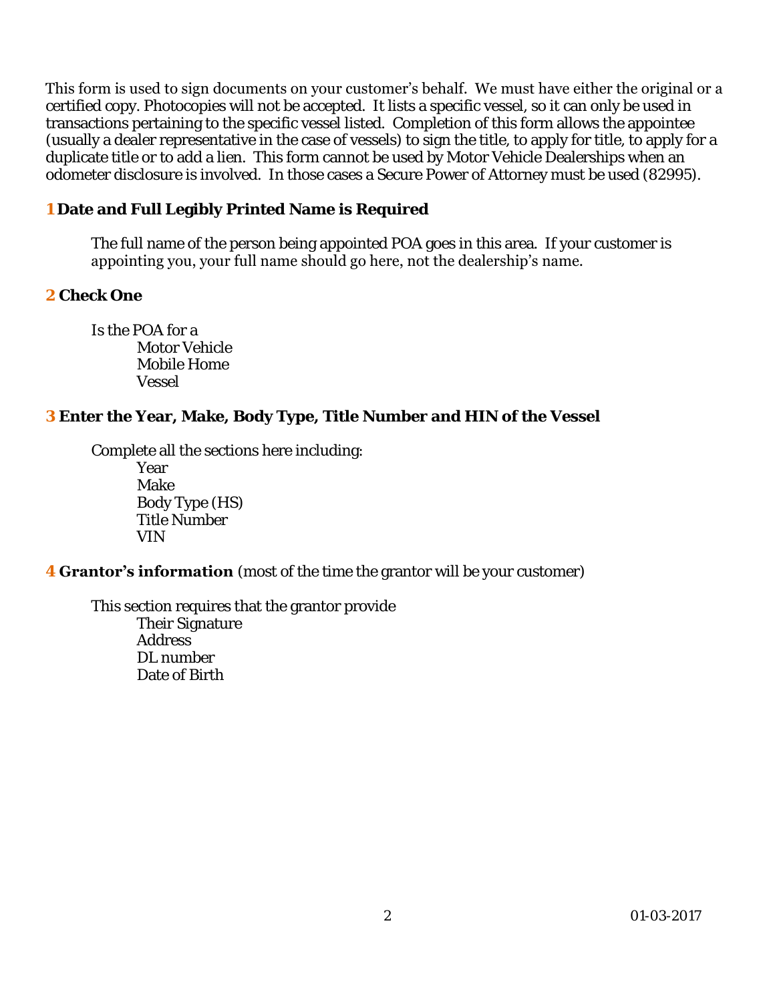This form is used to sign documents on your customer's behalf. We must have either the original or a certified copy. Photocopies will not be accepted. It lists a specific vessel, so it can only be used in transactions pertaining to the specific vessel listed. Completion of this form allows the appointee (usually a dealer representative in the case of vessels) to sign the title, to apply for title, to apply for a duplicate title or to add a lien. This form cannot be used by Motor Vehicle Dealerships when an odometer disclosure is involved. In those cases a Secure Power of Attorney must be used (82995).

**1 Date and Full Legibly Printed Name is Required** 

The full name of the person being appointed POA goes in this area. If your customer is appointing you, your full name should go here, not the dealership's name.

**2 Check One** 

Is the POA for a Motor Vehicle Mobile Home Vessel

**3 Enter the Year, Make, Body Type, Title Number and HIN of the Vessel** 

Complete all the sections here including:

 Year Make Body Type (HS) Title Number VIN

**4 Grantor's information** (most of the time the grantor will be your customer)

This section requires that the grantor provide Their Signature Address DL number Date of Birth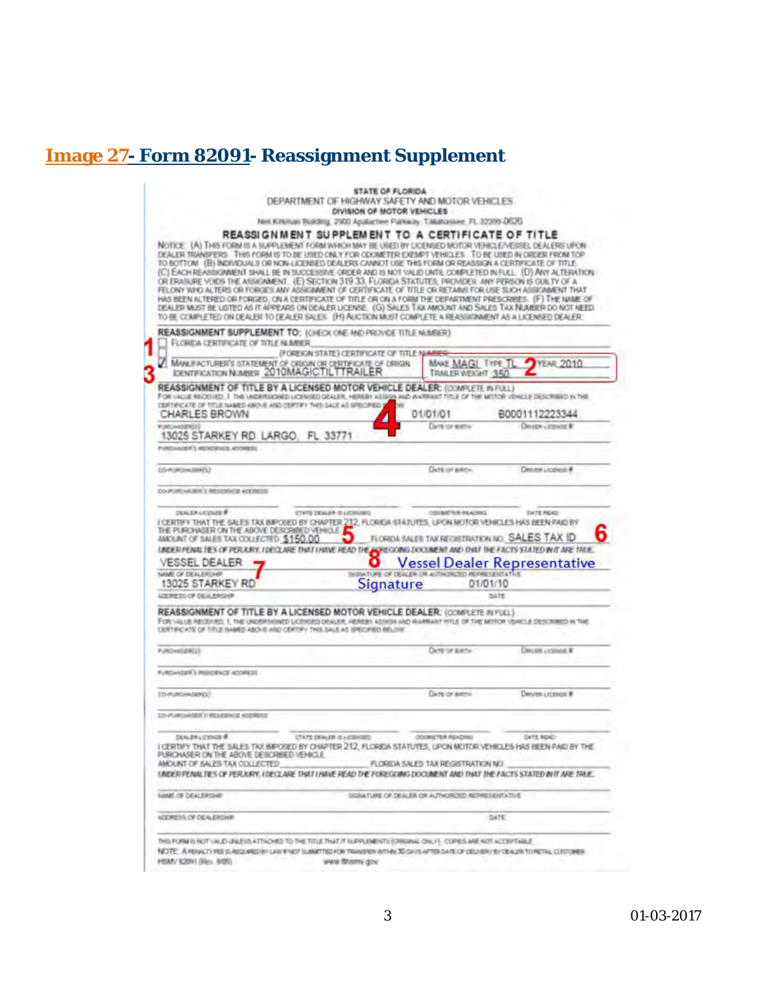# **Image 27- Form 82091- Reassignment Supplement**

|                                                                                                                                                                                                                                                                                                                                                                                                                                                                                                                                                                                                                                                                                                                                                                                                                                                                                                                                                                                                                                                                                         | <b>STATE OF FLORIDA</b><br>DEPARTMENT OF HIGHWAY SAFETY AND MOTOR VEHICLES. |                                                        |                                     |  |  |  |
|-----------------------------------------------------------------------------------------------------------------------------------------------------------------------------------------------------------------------------------------------------------------------------------------------------------------------------------------------------------------------------------------------------------------------------------------------------------------------------------------------------------------------------------------------------------------------------------------------------------------------------------------------------------------------------------------------------------------------------------------------------------------------------------------------------------------------------------------------------------------------------------------------------------------------------------------------------------------------------------------------------------------------------------------------------------------------------------------|-----------------------------------------------------------------------------|--------------------------------------------------------|-------------------------------------|--|--|--|
|                                                                                                                                                                                                                                                                                                                                                                                                                                                                                                                                                                                                                                                                                                                                                                                                                                                                                                                                                                                                                                                                                         | DIVISION OF MOTOR VEHICLES                                                  |                                                        |                                     |  |  |  |
|                                                                                                                                                                                                                                                                                                                                                                                                                                                                                                                                                                                                                                                                                                                                                                                                                                                                                                                                                                                                                                                                                         | Nell Kirkinan Building, 2900 Apalachee Parkway, Talkinassee, FL 32399-0620. |                                                        |                                     |  |  |  |
| REASSIGNMENT SUPPLEMENT TO A CERTIFICATE OF TITLE<br>NOTICE (A) THIS FORM IS A SUPPLEMENT FORM WHICH MAY BE USED BY LICENSED MOTOR VEHICLE/VESSEL DEALERS UPON-<br>DEALER TRANSFERS THIS FORM IS TO BE USED ONLY FOR ODOMETER EXEMPT VEHICLES. TO BE USED IN ORDER FROM TOP<br>TO BOTTOM (B) INDIVIDUALS OR NON-LICENSED DEALERS CANNOT USE THIS FORM OR REASSIGN A CERTIFICATE OF TITLE<br>(C) EACH REASINGINNENT SHALL BE IN SUCCESSIVE ORDER AND IS NOT VALID UNTIL COMPLETED IN FULL: (D) ANY ALTERATION<br>OR ERASURE VOIDS THE ASSIGNMENT. (E) SECTION 319 33, FLORIDA STATUTES, PROVIDES: ANY PERSON IS GUILTY OF A<br>FELONY WHO ALTERS OR FORGES ANY ASSIGNMENT OF CERTIFICATE OF TITLE OR RETAINS FOR USE SUCH ASSIGNMENT THAT<br>HAS BEEN ALTERED OR FORGED, ON A CERTIFICATE OF TITLE OR ON A FORM THE DEPARTMENT PRESCRIBES: (F) THE NAME OF<br>DEALER MUST BE LISTED AS IT APPEARS ON DEALER LICENSE. (G) SALES TAX AMOUNT AND SALES TAX NUMBER DO NOT NEED<br>TO BE COMPLETED ON DEALER TO DEALER SALES. (H) ALICTION MUST COMPLETE A REASSIONMENT AS A LICENSED DEALER. |                                                                             |                                                        |                                     |  |  |  |
| REASSIGNMENT SUPPLEMENT TO: (CHECK ONE AND PROVIDE TITLE NUMBER)<br>FLORIDA CERTIFICATE OF TITLE NUMBER.                                                                                                                                                                                                                                                                                                                                                                                                                                                                                                                                                                                                                                                                                                                                                                                                                                                                                                                                                                                |                                                                             |                                                        |                                     |  |  |  |
|                                                                                                                                                                                                                                                                                                                                                                                                                                                                                                                                                                                                                                                                                                                                                                                                                                                                                                                                                                                                                                                                                         | (FOREIGN STATE) CERTIFICATE OF TITLE N                                      |                                                        |                                     |  |  |  |
| MANUFACTURER'S STATEMENT OF ORIGIN OR CERTIFICATE OF ORIGIN<br><b>IDENTIFICATION NUMBER 2010MAGICTILTTRAILER</b>                                                                                                                                                                                                                                                                                                                                                                                                                                                                                                                                                                                                                                                                                                                                                                                                                                                                                                                                                                        |                                                                             | MAKE MAGI TYPE T<br>2010<br>TRAILER WEIGHT 350         |                                     |  |  |  |
| REASSIGNMENT OF TITLE BY A LICENSED MOTOR VEHICLE DEALER: (ODMPLETE IN FULL)<br>FOR VALUE RECEIVED. I THE VACERSIONED LICENSED DEALER, HEREBY ASSIGN AND WARRANT TITLE OF THE MOTOR VEHICLE DESCRIBED IN THE<br>DERTIFICATE OF TITLE INAMED ABOVE AND CERTA'Y THEILIAUS AS SPECIFIED S<br>CHARLES BROWN                                                                                                                                                                                                                                                                                                                                                                                                                                                                                                                                                                                                                                                                                                                                                                                 | <b>DW</b>                                                                   | 01/01/01                                               | B0001112223344                      |  |  |  |
| <b>Windows</b> and address of the<br>13025 STARKEY RD LARGO FL 33771<br>PURCIALISM'S REVOKVICE ADDRESS                                                                                                                                                                                                                                                                                                                                                                                                                                                                                                                                                                                                                                                                                                                                                                                                                                                                                                                                                                                  |                                                                             | Dony con sentral                                       | Devere consumer #                   |  |  |  |
| 10-RUROHASBREU                                                                                                                                                                                                                                                                                                                                                                                                                                                                                                                                                                                                                                                                                                                                                                                                                                                                                                                                                                                                                                                                          |                                                                             | Did it or subtro                                       | Distant Licence #                   |  |  |  |
| CO-PURCHAIRS'S RESERVICE ADDRESS                                                                                                                                                                                                                                                                                                                                                                                                                                                                                                                                                                                                                                                                                                                                                                                                                                                                                                                                                                                                                                                        |                                                                             |                                                        |                                     |  |  |  |
| UNDER FENALTES OF PERJURY, I DECLARE THAT I HAVE READ THE CONSIGNITY DOCUMENT AND THAT THE FACTS STATED IN IT ARE TRUE.<br>VESSEL DEALER<br>NAME OF DEALERSHIP                                                                                                                                                                                                                                                                                                                                                                                                                                                                                                                                                                                                                                                                                                                                                                                                                                                                                                                          | O<br>THOSE TUPE OF DEALER OR AUTOKORDED PEPIRESENTATIVE                     |                                                        | <b>Vessel Dealer Representative</b> |  |  |  |
| 13025 STARKEY RD                                                                                                                                                                                                                                                                                                                                                                                                                                                                                                                                                                                                                                                                                                                                                                                                                                                                                                                                                                                                                                                                        | Signature                                                                   |                                                        | 01/01/10                            |  |  |  |
| LOCARESS OF DELL ERSHIP                                                                                                                                                                                                                                                                                                                                                                                                                                                                                                                                                                                                                                                                                                                                                                                                                                                                                                                                                                                                                                                                 |                                                                             |                                                        | SATE                                |  |  |  |
| REASSIGNMENT OF TITLE BY A LICENSED MOTOR VEHICLE DEALER: (COMPLETE IN FULL)<br>FOR YALLIS RECEVED, I. THE UNDERSKINED LICENSED DEALER, HEREBY ASSISS AND WARRANT YITLE OF THE MITTOR VEHICLE DESIGNIBILS IN THE<br>CERTIFICATE OF TITLE INAMED ABOVE AND CERTIFY THIS SALE AS SPECIFIED RELOW.                                                                                                                                                                                                                                                                                                                                                                                                                                                                                                                                                                                                                                                                                                                                                                                         |                                                                             |                                                        |                                     |  |  |  |
| PURCHASERED)                                                                                                                                                                                                                                                                                                                                                                                                                                                                                                                                                                                                                                                                                                                                                                                                                                                                                                                                                                                                                                                                            |                                                                             | During the limit for                                   | <b>DRIVIN LICENSE R</b>             |  |  |  |
| FURGINIST'S PRIFORMER ADDRESS                                                                                                                                                                                                                                                                                                                                                                                                                                                                                                                                                                                                                                                                                                                                                                                                                                                                                                                                                                                                                                                           |                                                                             |                                                        |                                     |  |  |  |
| <b><i>ED-PURCHASEREE)</i></b>                                                                                                                                                                                                                                                                                                                                                                                                                                                                                                                                                                                                                                                                                                                                                                                                                                                                                                                                                                                                                                                           |                                                                             | Darg or aims)                                          | Dividen Licenson #                  |  |  |  |
| <b>ID-PURSHABILE RESERVEE ADDRESS</b>                                                                                                                                                                                                                                                                                                                                                                                                                                                                                                                                                                                                                                                                                                                                                                                                                                                                                                                                                                                                                                                   |                                                                             |                                                        |                                     |  |  |  |
| <b>DEALER LICENSE #</b><br>I CERTIFY THAT THE SALES TAX WIPOSED BY CHAPTER 212, FLORIDA STATUTES, UPON MOTOR VEHICLES HAS BEEN PAID BY THE<br>PURCHASER ON THE ABOVE DESCRIBED<br>AMOUNT OF SALES TAX COLLECTED                                                                                                                                                                                                                                                                                                                                                                                                                                                                                                                                                                                                                                                                                                                                                                                                                                                                         | CROSSING BALLAST CARD                                                       | COOMETER READING<br>FLORIDA SALES TAX REGISTRATION NO. | <b>GATE READ</b>                    |  |  |  |
|                                                                                                                                                                                                                                                                                                                                                                                                                                                                                                                                                                                                                                                                                                                                                                                                                                                                                                                                                                                                                                                                                         |                                                                             |                                                        |                                     |  |  |  |
|                                                                                                                                                                                                                                                                                                                                                                                                                                                                                                                                                                                                                                                                                                                                                                                                                                                                                                                                                                                                                                                                                         | SIGNATURE OF DEALER OR AUTHORIZED REPRESENTATIVE                            |                                                        |                                     |  |  |  |
| UNDER FENIALTES OF PERJURY, LOEOLINE THAT LHAVE READ THE FOREGOING DOCUMENT AND THAT THE FACTS STATED IN IT ARE TRUE.<br><b><i>NAME OF DEALERSHIP</i></b><br><b><i>NEWMEEN OF DEALERSHIP</i></b>                                                                                                                                                                                                                                                                                                                                                                                                                                                                                                                                                                                                                                                                                                                                                                                                                                                                                        |                                                                             |                                                        | DATE:                               |  |  |  |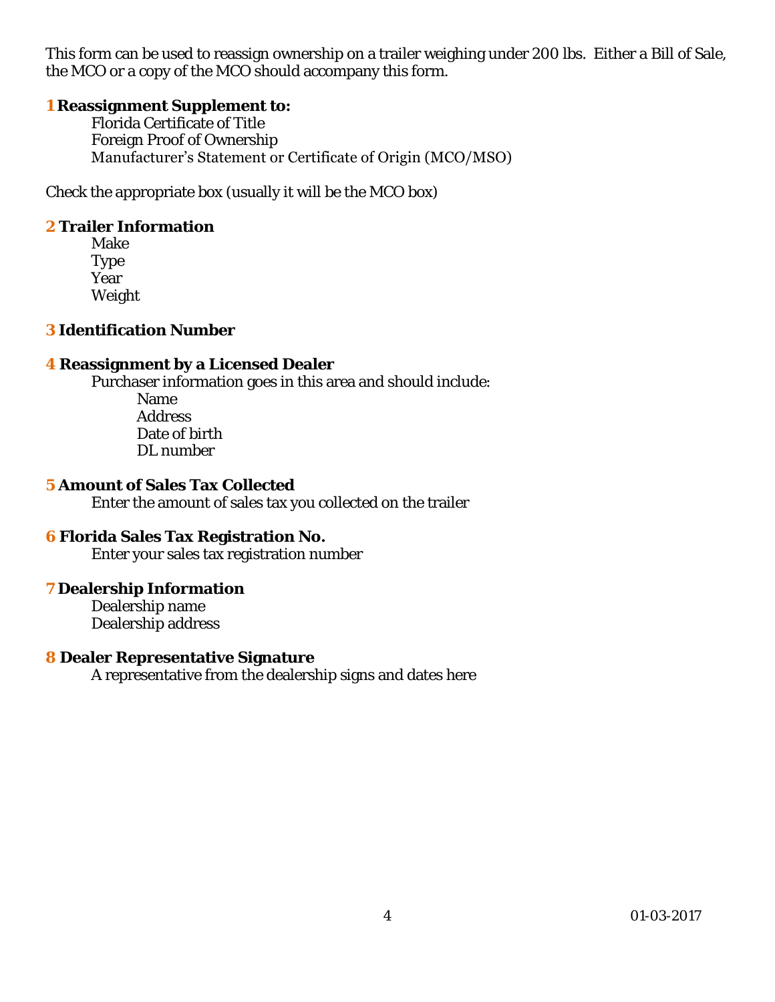This form can be used to reassign ownership on a trailer weighing under 200 lbs. Either a Bill of Sale, the MCO or a copy of the MCO should accompany this form.

**1 Reassignment Supplement to:**

Florida Certificate of Title Foreign Proof of Ownership Manufacturer's Statement or Certificate of Origin (MCO/MSO)

Check the appropriate box (usually it will be the MCO box)

**2 Trailer Information** 

Make Type Year Weight

**3 Identification Number** 

**4 Reassignment by a Licensed Dealer** 

 Purchaser information goes in this area and should include: Name

Address Date of birth DL number

- **5 Amount of Sales Tax Collected**  Enter the amount of sales tax you collected on the trailer
- **6 Florida Sales Tax Registration No.**  Enter your sales tax registration number
- **7 Dealership Information**  Dealership name Dealership address
- **8 Dealer Representative Signature**  A representative from the dealership signs and dates here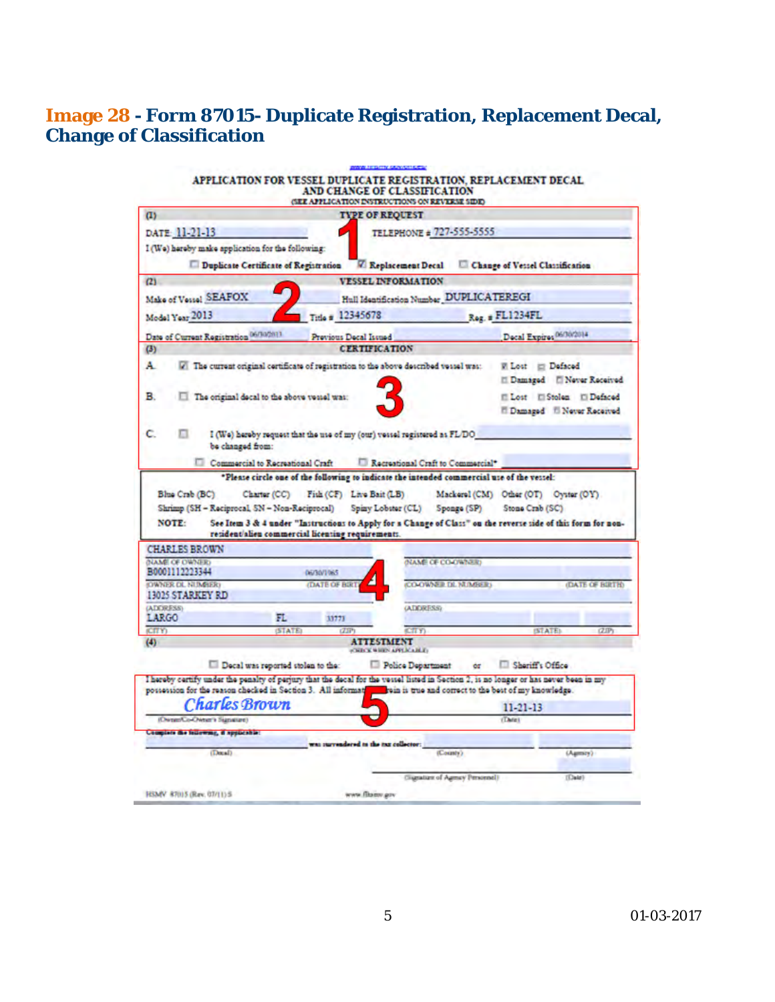### **Image 28 - Form 87015- Duplicate Registration, Replacement Decal, Change of Classification**

| (1)                                                                                                                                                                                                                                                            | <b>GEE APPLICATION INSTRUCTIONS ON REVERSE SIDE:</b> | <b>TYPE OF REQUEST</b>                   |                                                                                                              |
|----------------------------------------------------------------------------------------------------------------------------------------------------------------------------------------------------------------------------------------------------------------|------------------------------------------------------|------------------------------------------|--------------------------------------------------------------------------------------------------------------|
|                                                                                                                                                                                                                                                                |                                                      |                                          |                                                                                                              |
| DATE 11-21-13                                                                                                                                                                                                                                                  |                                                      | TELEPHONE # 727-555-5555                 |                                                                                                              |
| I (We) hereby make application for the following:                                                                                                                                                                                                              |                                                      |                                          |                                                                                                              |
| Duplicate Certificate of Registration                                                                                                                                                                                                                          |                                                      | <b>Z</b> Replacement Decal               | Change of Vessel Classification                                                                              |
| (2)                                                                                                                                                                                                                                                            |                                                      | <b>VESSEL INFORMATION</b>                |                                                                                                              |
| Make of Vessel SEAFOX                                                                                                                                                                                                                                          |                                                      | Hull Identification Number DUPLICATEREGI |                                                                                                              |
| Model Year 2013                                                                                                                                                                                                                                                | Title # 12345678                                     |                                          | Reg. # FL1234FL                                                                                              |
| Date of Current Registration 06/10/2011                                                                                                                                                                                                                        | Previous Decal Issued                                |                                          | Decal Expires 06/30/2014                                                                                     |
| (3)                                                                                                                                                                                                                                                            | <b>CERTIFICATION</b>                                 |                                          |                                                                                                              |
| A.<br>The current original certificate of registration to the above described vessel was:                                                                                                                                                                      |                                                      |                                          | W Lost # Defaced                                                                                             |
|                                                                                                                                                                                                                                                                |                                                      |                                          | Il Damaged   Never Received                                                                                  |
| в<br>The original decal to the above vessel was:                                                                                                                                                                                                               |                                                      |                                          | El Lost El Stolen El Defaced                                                                                 |
|                                                                                                                                                                                                                                                                |                                                      |                                          | <sup>17</sup> Damaged <sup>17</sup> Never Received                                                           |
|                                                                                                                                                                                                                                                                |                                                      |                                          |                                                                                                              |
| с<br>I (We) hereby request that the use of my (our) vessel registered as FL/DO<br>be changed from:                                                                                                                                                             |                                                      |                                          |                                                                                                              |
| Commercial to Recreational Craft   Recreational Craft to Commercial*                                                                                                                                                                                           |                                                      |                                          |                                                                                                              |
|                                                                                                                                                                                                                                                                |                                                      |                                          | *Please circle one of the following to indicate the intended commercial use of the vessel:                   |
|                                                                                                                                                                                                                                                                |                                                      |                                          |                                                                                                              |
|                                                                                                                                                                                                                                                                |                                                      |                                          |                                                                                                              |
| Blue Crab (BC)                                                                                                                                                                                                                                                 | Charter (CC) Fish (CF) Live Bait (LB)                |                                          | Mackerel (CM) Other (OT) Oyster (OY)                                                                         |
| Shrimp (SH - Reciprocal, SN - Non-Reciprocal) Spiny Lobster (CL) Sponge (SP)                                                                                                                                                                                   |                                                      |                                          | Stone Crab (SC)                                                                                              |
| <b>NOTE:</b><br>resident/alien commercial licenting requirements.                                                                                                                                                                                              |                                                      |                                          |                                                                                                              |
| <b>CHARLES BROWN</b>                                                                                                                                                                                                                                           |                                                      |                                          | See Item 3 & 4 under "Instructions to Apply for a Change of Class" on the reverse side of this form for non- |
| NAME OF OWNER                                                                                                                                                                                                                                                  |                                                      | <b><i>NAME OF CO-OWNER</i></b>           |                                                                                                              |
| B0001112223344                                                                                                                                                                                                                                                 | 06/30/1065                                           |                                          |                                                                                                              |
| 13025 STARKEY RD                                                                                                                                                                                                                                               | <b><i>CDATE OF BIR</i></b>                           | CO-OWNER DI. NUMBERS                     | <b>(DATE OF BIRTH)</b>                                                                                       |
|                                                                                                                                                                                                                                                                |                                                      | <b><i>GATIORESSY</i></b>                 |                                                                                                              |
| FL.                                                                                                                                                                                                                                                            | 11771                                                |                                          |                                                                                                              |
| (STATE)                                                                                                                                                                                                                                                        | $(T\overline{H})$                                    | CTTY<br><b>ATTESTMENT</b>                | (STATE)<br>(2.IP)                                                                                            |
| LARGO<br><b>CITY</b> )                                                                                                                                                                                                                                         |                                                      | <b>CRECKWHIPS APPLICABLE</b>             |                                                                                                              |
| Decal was reported stolen to the:                                                                                                                                                                                                                              |                                                      | Police Department                        | Shariff's Office<br>ér.                                                                                      |
|                                                                                                                                                                                                                                                                |                                                      |                                          |                                                                                                              |
|                                                                                                                                                                                                                                                                |                                                      |                                          | win is true and correct to the best of my knowledge.                                                         |
| <b>Charles</b> Brown                                                                                                                                                                                                                                           |                                                      |                                          | 11-21-13                                                                                                     |
| (OwnerCo-Owner's Signature)                                                                                                                                                                                                                                    |                                                      |                                          | (Tave)                                                                                                       |
| Complete the following, it applicable:                                                                                                                                                                                                                         | was surrendered to the tax collector:                |                                          |                                                                                                              |
| <b>OWNER OL NUMBER</b><br>(ADDRESS)<br>(4)<br>I hereby certify under the penalty of perjury that the decal for the vessel listed in Section 2, is no longer or has never been in my<br>possession for the reason checked in Section 3. All informat<br>(Dexal) |                                                      | (County)                                 | (Agmory)                                                                                                     |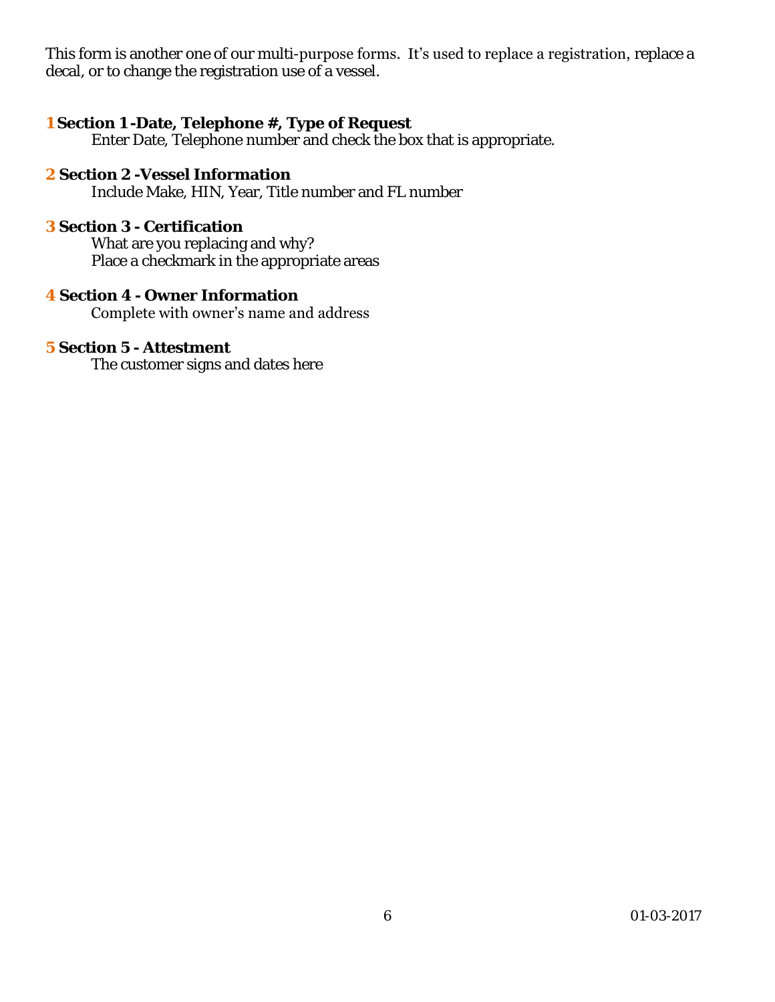This form is another one of our multi-purpose forms. It's used to replace a registration, replace a decal, or to change the registration use of a vessel.

- **1 Section 1 -Date, Telephone #, Type of Request**  Enter Date, Telephone number and check the box that is appropriate.
- **2 Section 2 -Vessel Information**  Include Make, HIN, Year, Title number and FL number
- **3 Section 3 Certification**  What are you replacing and why? Place a checkmark in the appropriate areas
- **4 Section 4 Owner Information**  Complete with owner's name and address
- **5 Section 5 Attestment**  The customer signs and dates here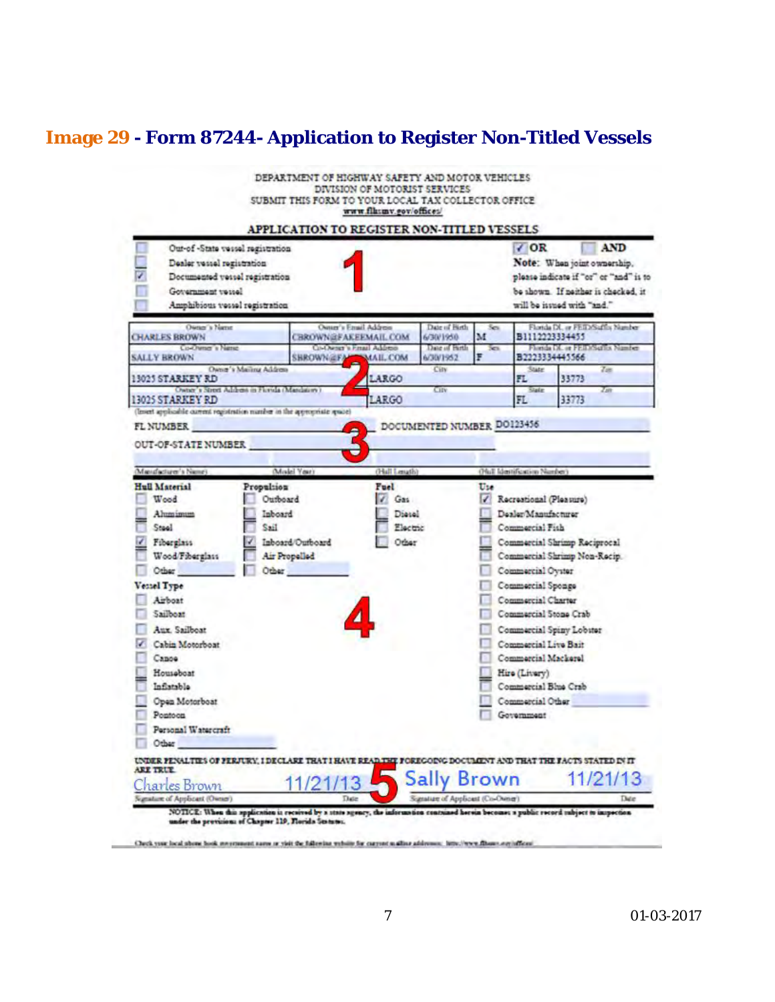## **Image 29 - Form 87244- Application to Register Non-Titled Vessels**

|                                                                                                                                                         | DEPARTMENT OF HIGHWAY SAFETY AND MOTOR VEHICLES<br>DIVISION OF MOTORIST SERVICES<br>SUBMIT THIS FORM TO YOUR LOCAL TAX COLLECTOR OFFICE<br>www.flksmv.gov/offices/ |                                                          |                |                                                                                |                                                                                                                                                   |
|---------------------------------------------------------------------------------------------------------------------------------------------------------|--------------------------------------------------------------------------------------------------------------------------------------------------------------------|----------------------------------------------------------|----------------|--------------------------------------------------------------------------------|---------------------------------------------------------------------------------------------------------------------------------------------------|
| Out-of-State vessel registration<br>Dealer vessel registration<br>Documented vessel registration<br>Government vessel<br>Amphibious vessel registration | APPLICATION TO REGISTER NON-TITLED VESSELS                                                                                                                         |                                                          |                | $\sqrt{OR}$                                                                    | <b>AND</b><br>Note: When joint ownership.<br>please indicate if "or" or "and" is to<br>be shown. If neither is checked, it<br>".bar" divided with |
| Owner's Name<br><b>CHARLES BROWN</b><br>Co-Owner's Name<br><b>SALLY BROWN</b>                                                                           | Owner's Email Address<br><b>CBROWN@FAKEEMAIL.COM</b><br><b>CI-Owner's Fmail Address</b><br><b>SHROWN@FA</b><br>MAIL COM                                            | Date of Hirth<br>6/30/1950<br>Date of Birth<br>6/30/1952 | Ses.<br>м<br>š | B1112223334455<br>82223334445566                                               | Florida DL or FEID/Suffix Number<br>Florida DL or FEID/Series Namber                                                                              |
| Owner's Marinu Address<br>13025 STARKEY RD<br>Owner's Street Address in Fictida (Mandatory)                                                             | LARGO                                                                                                                                                              | City<br>City                                             |                | State<br>FL<br>Slate                                                           | Zin<br>33773<br>Zin                                                                                                                               |
| Propulsion<br>Wood<br>Ahmimum                                                                                                                           | Model Years<br>(Hall Lenath)<br>Fuel<br>Outboard<br>Gas<br>Inboard<br>Diesel                                                                                       |                                                          | Use<br>₽       | (Hull Identification Number)<br>Recreational (Pleasure)<br>Dealer Manufacturer |                                                                                                                                                   |
| Mandaziarer's Names<br>Hull Material                                                                                                                    |                                                                                                                                                                    |                                                          |                |                                                                                |                                                                                                                                                   |
| <b>Iic2</b><br>Steel<br>Fiberglass<br>Wood/Fiberglass                                                                                                   | Electric<br>Inboard/Outboard<br>Other<br>Air Propelled                                                                                                             |                                                          |                | Commercial Fish                                                                | Commercial Shrimp Reciprocal<br>Commercial Shrimp Non-Rocip.                                                                                      |
| Other<br>Vessel Type<br>Airboat                                                                                                                         | Other                                                                                                                                                              |                                                          |                | Commercial Oyster<br>Commercial Sponge<br>Commercial Charter                   |                                                                                                                                                   |
| Sailboat<br>Aux. Sailboat<br>Cabin Motorboat                                                                                                            |                                                                                                                                                                    |                                                          |                | Commercial Stone Crab<br>Commercial Live Bait                                  | Commercial Spiny Lobster                                                                                                                          |
| Canoe<br>Housaboat<br>Inflatable                                                                                                                        |                                                                                                                                                                    |                                                          |                | Commercial Mackerel<br>Hire (Livery)<br>Commercial Blue Crab                   |                                                                                                                                                   |
| Open Motorboat<br>Pontoon<br>Personal Watercraft                                                                                                        |                                                                                                                                                                    |                                                          |                | Commercial Other<br>Government                                                 |                                                                                                                                                   |
| Other<br>UNDER FENALTIES OF FERJURY, I DECLARE THAT I HAVE READ THY FOREGOING DOCUMENT AND THAT THE FACTS STATED IN IT                                  |                                                                                                                                                                    |                                                          |                |                                                                                |                                                                                                                                                   |
| <b>ARE TRUE</b><br>arles Brown                                                                                                                          |                                                                                                                                                                    |                                                          | Brown          |                                                                                |                                                                                                                                                   |
| grature of Applicant (Owner)<br>under the previsions of Chapter 119, Florida Statutes.                                                                  | Date<br>NOTICE: When this application is received by a state agency, the information contained herein becomes a public record subject to impection                 | Signalian of Applicant (Co-Owner)                        |                |                                                                                | Date                                                                                                                                              |

Onck you heal about book measures away or yiel the following vehicle for current walker addresses. Send were discussed any inflictation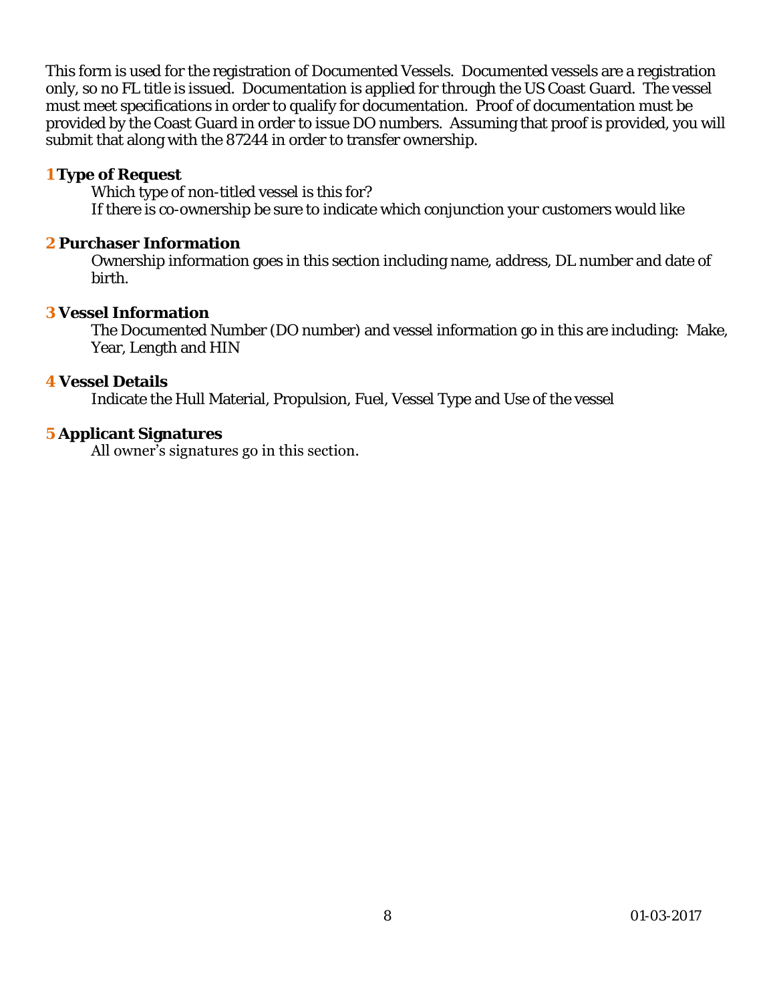This form is used for the registration of Documented Vessels. Documented vessels are a registration only, so no FL title is issued. Documentation is applied for through the US Coast Guard. The vessel must meet specifications in order to qualify for documentation. Proof of documentation must be provided by the Coast Guard in order to issue DO numbers. Assuming that proof is provided, you will submit that along with the 87244 in order to transfer ownership.

#### **1 Type of Request**

Which type of non-titled vessel is this for? If there is co-ownership be sure to indicate which conjunction your customers would like

#### **2 Purchaser Information**

Ownership information goes in this section including name, address, DL number and date of birth.

#### **3 Vessel Information**

The Documented Number (DO number) and vessel information go in this are including: Make, Year, Length and HIN

#### **4 Vessel Details**

Indicate the Hull Material, Propulsion, Fuel, Vessel Type and Use of the vessel

#### **5 Applicant Signatures**

All owner's signatures go in this section.